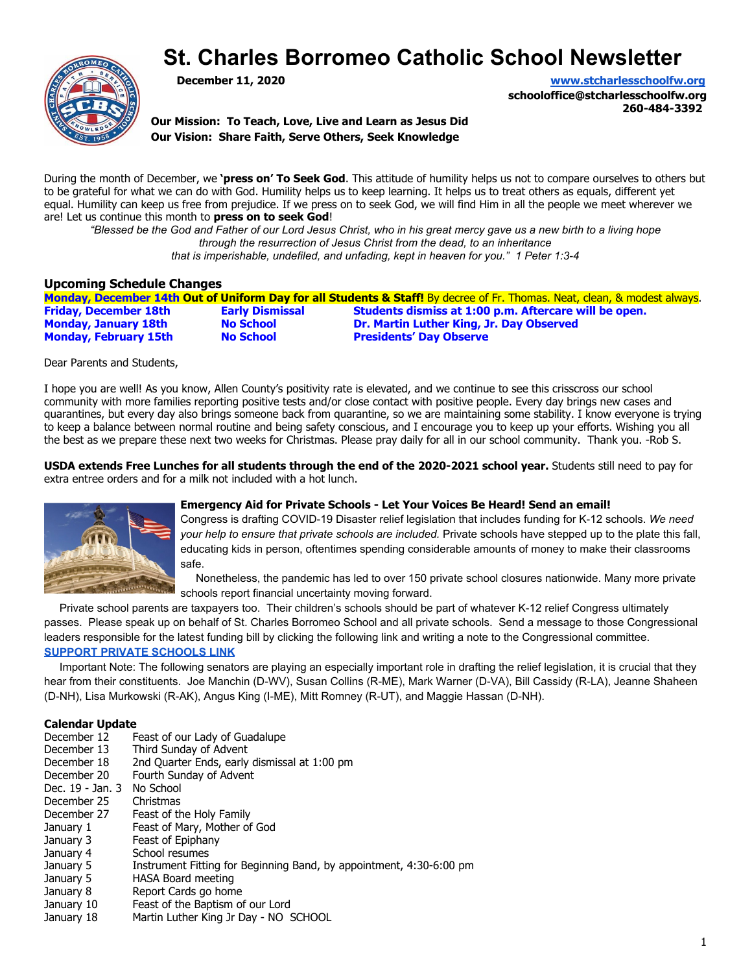# **St. Charles Borromeo Catholic School Newsletter**



**December 11, 2020 [www.stcharlesschoolfw.org](http://www.stcharlesschoolfw.org/)**

**schooloffice@stcharlesschoolfw.org 260-484-3392**

**Our Mission: To Teach, Love, Live and Learn as Jesus Did Our Vision: Share Faith, Serve Others, Seek Knowledge**

During the month of December, we **'press on' To Seek God**. This attitude of humility helps us not to compare ourselves to others but to be grateful for what we can do with God. Humility helps us to keep learning. It helps us to treat others as equals, different yet equal. Humility can keep us free from prejudice. If we press on to seek God, we will find Him in all the people we meet wherever we are! Let us continue this month to **press on to seek God**!

*"Blessed be the God and Father of our Lord Jesus Christ, who in his great mercy gave us a new birth to a living hope through the resurrection of Jesus Christ from the dead, to an inheritance that is imperishable, undefiled, and unfading, kept in heaven for you." 1 Peter 1:3-4*

#### **Upcoming Schedule Changes**

|                              |                        | Monday, December 14th Out of Uniform Day for all Students & Staff! By decree of Fr. Thomas. Neat, clean, & modest always. |
|------------------------------|------------------------|---------------------------------------------------------------------------------------------------------------------------|
| <b>Friday, December 18th</b> | <b>Early Dismissal</b> | Students dismiss at 1:00 p.m. Aftercare will be open.                                                                     |
| <b>Monday, January 18th</b>  | <b>No School</b>       | <b>Dr. Martin Luther King, Jr. Day Observed</b>                                                                           |
| <b>Monday, February 15th</b> | <b>No School</b>       | <b>Presidents' Day Observe</b>                                                                                            |
|                              |                        |                                                                                                                           |

Dear Parents and Students,

I hope you are well! As you know, Allen County's positivity rate is elevated, and we continue to see this crisscross our school community with more families reporting positive tests and/or close contact with positive people. Every day brings new cases and quarantines, but every day also brings someone back from quarantine, so we are maintaining some stability. I know everyone is trying to keep a balance between normal routine and being safety conscious, and I encourage you to keep up your efforts. Wishing you all the best as we prepare these next two weeks for Christmas. Please pray daily for all in our school community. Thank you. -Rob S.

**USDA extends Free Lunches for all students through the end of the 2020-2021 school year.** Students still need to pay for extra entree orders and for a milk not included with a hot lunch.



#### **Emergency Aid for Private Schools - Let Your Voices Be Heard! Send an email!**

Congress is drafting COVID-19 Disaster relief legislation that includes funding for K-12 schools. *We need your help to ensure that private schools are included.* Private schools have stepped up to the plate this fall, educating kids in person, oftentimes spending considerable amounts of money to make their classrooms safe.

 Nonetheless, the pandemic has led to over 150 private school closures nationwide. Many more private schools report financial uncertainty moving forward.

 Private school parents are taxpayers too. Their children's schools should be part of whatever K-12 relief Congress ultimately passes. Please speak up on behalf of St. Charles Borromeo School and all private schools. Send a message to those Congressional leaders responsible for the latest funding bill by clicking the following link and writing a note to the Congressional committee. **[SUPPORT PRIVATE SCHOOLS LINK](http://action.capenet.org/ctas/emergency-aid-private-schools)**

 Important Note: The following senators are playing an especially important role in drafting the relief legislation, it is crucial that they hear from their constituents. Joe Manchin (D-WV), Susan Collins (R-ME), Mark Warner (D-VA), Bill Cassidy (R-LA), Jeanne Shaheen (D-NH), Lisa Murkowski (R-AK), Angus King (I-ME), Mitt Romney (R-UT), and Maggie Hassan (D-NH).

## **Calendar Update**<br>December 12 F

- December 12 Feast of our Lady of Guadalupe<br>December 13 Third Sunday of Advent
- Third Sunday of Advent
- December 18 2nd Quarter Ends, early dismissal at 1:00 pm
- December 20 Fourth Sunday of Advent
- Dec. 19 Jan. 3 No School
- December 25 Christmas
- December 27 Feast of the Holy Family
- January 1 Feast of Mary, Mother of God
- January 3 Feast of Epiphany
- January 4 School resumes
- January 5 Instrument Fitting for Beginning Band, by appointment, 4:30-6:00 pm
- January 5 HASA Board meeting
- January 8 Report Cards go home
- January 10 Feast of the Baptism of our Lord
- January 18 Martin Luther King Jr Day NO SCHOOL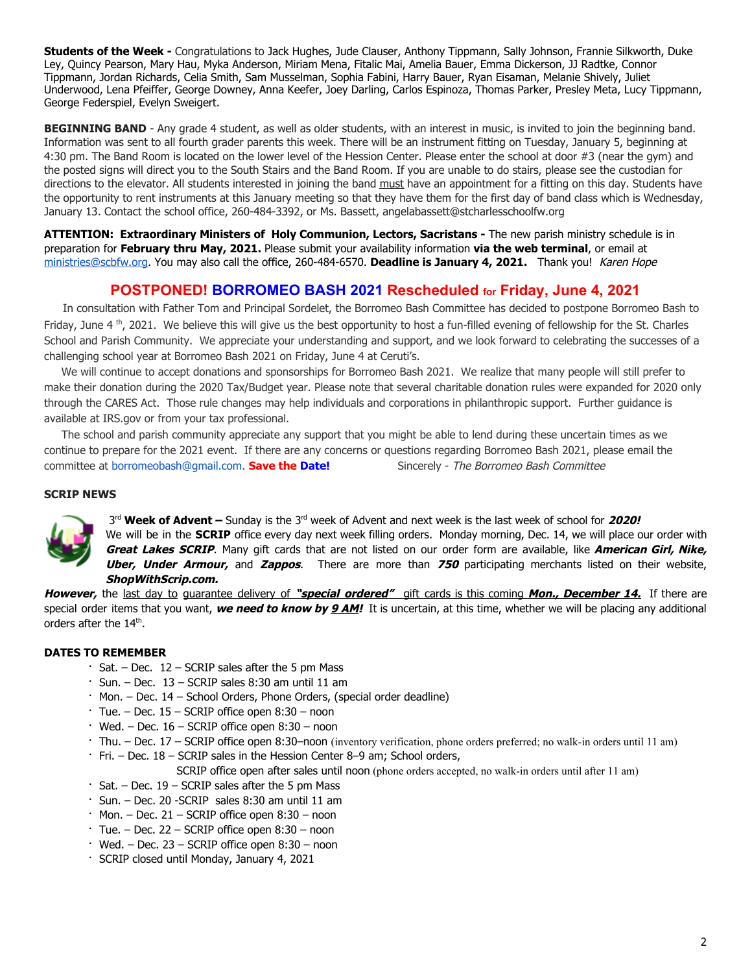**Students of the Week -** Congratulations to Jack Hughes, Jude Clauser, Anthony Tippmann, Sally Johnson, Frannie Silkworth, Duke Ley, Quincy Pearson, Mary Hau, Myka Anderson, Miriam Mena, Fitalic Mai, Amelia Bauer, Emma Dickerson, JJ Radtke, Connor Tippmann, Jordan Richards, Celia Smith, Sam Musselman, Sophia Fabini, Harry Bauer, Ryan Eisaman, Melanie Shively, Juliet Underwood, Lena Pfeiffer, George Downey, Anna Keefer, Joey Darling, Carlos Espinoza, Thomas Parker, Presley Meta, Lucy Tippmann, George Federspiel, Evelyn Sweigert.

BEGINNING BAND - Any grade 4 student, as well as older students, with an interest in music, is invited to join the beginning band. Information was sent to all fourth grader parents this week. There will be an instrument fitting on Tuesday, January 5, beginning at 4:30 pm. The Band Room is located on the lower level of the Hession Center. Please enter the school at door #3 (near the gym) and the posted signs will direct you to the South Stairs and the Band Room. If you are unable to do stairs, please see the custodian for directions to the elevator. All students interested in joining the band must have an appointment for a fitting on this day. Students have the opportunity to rent instruments at this January meeting so that they have them for the first day of band class which is Wednesday, January 13. Contact the school office, 260-484-3392, or Ms. Bassett, angelabassett@stcharlesschoolfw.org

**ATTENTION: Extraordinary Ministers of Holy Communion, Lectors, Sacristans -** The new parish ministry schedule is in preparation for **February thru May, 2021.** Please submit your availability information **via the web terminal**, or email at [ministries@scbfw.org.](mailto:ministries@scbfw.org) You may also call the office, 260-484-6570. **Deadline is January 4, 2021.** Thank you! Karen Hope

## **POSTPONED! BORROMEO BASH 2021 Rescheduled for Friday, June 4, 2021**

 In consultation with Father Tom and Principal Sordelet, the Borromeo Bash Committee has decided to postpone Borromeo Bash to Friday, June 4  $^{\text{th}}$ , 2021. We believe this will give us the best opportunity to host a fun-filled evening of fellowship for the St. Charles School and Parish Community. We appreciate your understanding and support, and we look forward to celebrating the successes of a challenging school year at Borromeo Bash 2021 on Friday, June 4 at Ceruti's.

 We will continue to accept donations and sponsorships for Borromeo Bash 2021. We realize that many people will still prefer to make their donation during the 2020 Tax/Budget year. Please note that several charitable donation rules were expanded for 2020 only through the CARES Act. Those rule changes may help individuals and corporations in philanthropic support. Further guidance is available at IRS.gov or from your tax professional.

 The school and parish community appreciate any support that you might be able to lend during these uncertain times as we continue to prepare for the 2021 event. If there are any concerns or questions regarding Borromeo Bash 2021, please email the committee at borromeobash@gmail.com. **Save the Date!** Sincerely - The Borromeo Bash Committee

#### **SCRIP NEWS**



3<sup>rd</sup> Week of Advent – Sunday is the 3<sup>rd</sup> week of Advent and next week is the last week of school for 2020!

We will be in the **SCRIP** office every day next week filling orders. Monday morning, Dec. 14, we will place our order with **Great Lakes SCRIP**. Many gift cards that are not listed on our order form are available, like **American Girl, Nike, Uber, Under Armour,** and **Zappos**. There are more than **750** participating merchants listed on their website, **ShopWithScrip.com.**

**However,** the last day to guarantee delivery of **"special ordered"** gift cards is this coming **Mon., December 14.** If there are special order items that you want, **we need to know by 9 AM!** It is uncertain, at this time, whether we will be placing any additional orders after the 14<sup>th</sup>.

#### **DATES TO REMEMBER**

- $\cdot$  Sat. Dec. 12 SCRIP sales after the 5 pm Mass
- · Sun. Dec. 13 SCRIP sales 8:30 am until 11 am
- · Mon. Dec. 14 School Orders, Phone Orders, (special order deadline)
- $\cdot$  Tue. Dec. 15 SCRIP office open 8:30 noon
- $\cdot$  Wed. Dec. 16 SCRIP office open 8:30 noon
- · Thu. Dec. 17 SCRIP office open 8:30–noon (inventory verification, phone orders preferred; no walk-in orders until 11 am)
- · Fri. Dec. 18 SCRIP sales in the Hession Center 8–9 am; School orders,
	- SCRIP office open after sales until noon (phone orders accepted, no walk-in orders until after 11 am)
- $\cdot$  Sat. Dec. 19 SCRIP sales after the 5 pm Mass
- · Sun. Dec. 20 -SCRIP sales 8:30 am until 11 am
- $\cdot$  Mon. Dec. 21 SCRIP office open 8:30 noon
- $\cdot$  Tue. Dec. 22 SCRIP office open 8:30 noon
- $\cdot$  Wed. Dec. 23 SCRIP office open 8:30 noon
- · SCRIP closed until Monday, January 4, 2021